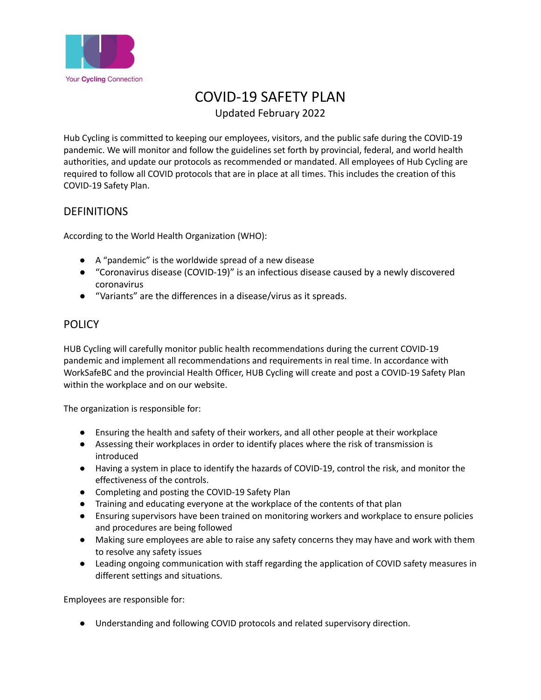

# COVID-19 SAFETY PLAN Updated February 2022

Hub Cycling is committed to keeping our employees, visitors, and the public safe during the COVID-19 pandemic. We will monitor and follow the guidelines set forth by provincial, federal, and world health authorities, and update our protocols as recommended or mandated. All employees of Hub Cycling are required to follow all COVID protocols that are in place at all times. This includes the creation of this COVID-19 Safety Plan.

# DEFINITIONS

According to the World Health Organization (WHO):

- A "pandemic" is the worldwide spread of a new disease
- "Coronavirus disease (COVID-19)" is an infectious disease caused by a newly discovered coronavirus
- "Variants" are the differences in a disease/virus as it spreads.

## **POLICY**

HUB Cycling will carefully monitor public health recommendations during the current COVID-19 pandemic and implement all recommendations and requirements in real time. In accordance with WorkSafeBC and the provincial Health Officer, HUB Cycling will create and post a COVID-19 Safety Plan within the workplace and on our website.

The organization is responsible for:

- Ensuring the health and safety of their workers, and all other people at their workplace
- Assessing their workplaces in order to identify places where the risk of transmission is introduced
- Having a system in place to identify the hazards of COVID-19, control the risk, and monitor the effectiveness of the controls.
- Completing and posting the COVID-19 Safety Plan
- Training and educating everyone at the workplace of the contents of that plan
- Ensuring supervisors have been trained on monitoring workers and workplace to ensure policies and procedures are being followed
- Making sure employees are able to raise any safety concerns they may have and work with them to resolve any safety issues
- Leading ongoing communication with staff regarding the application of COVID safety measures in different settings and situations.

Employees are responsible for:

● Understanding and following COVID protocols and related supervisory direction.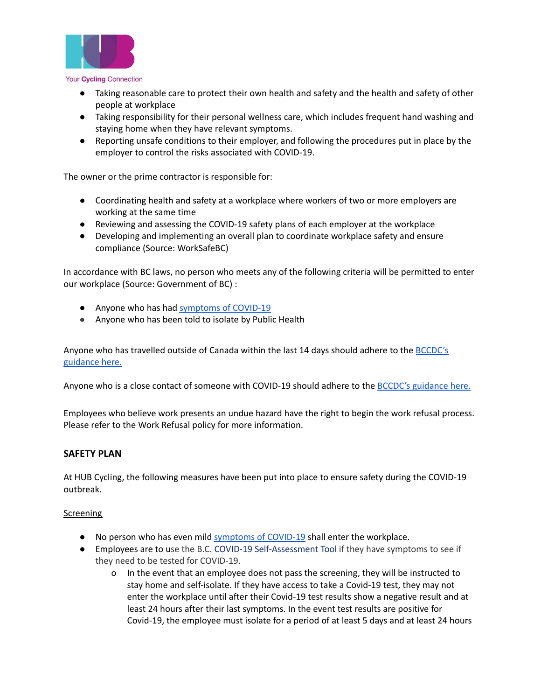

#### Your Cycling Connection

- Taking reasonable care to protect their own health and safety and the health and safety of other people at workplace
- Taking responsibility for their personal wellness care, which includes frequent hand washing and staying home when they have relevant symptoms.
- Reporting unsafe conditions to their employer, and following the procedures put in place by the employer to control the risks associated with COVID-19.

The owner or the prime contractor is responsible for:

- Coordinating health and safety at a workplace where workers of two or more employers are working at the same time
- Reviewing and assessing the COVID-19 safety plans of each employer at the workplace
- Developing and implementing an overall plan to coordinate workplace safety and ensure compliance (Source: WorkSafeBC)

In accordance with BC laws, no person who meets any of the following criteria will be permitted to enter our workplace (Source: Government of BC) :

- Anyone who has had [symptoms](http://www.bccdc.ca/health-info/diseases-conditions/covid-19/about-covid-19/symptoms) of COVID-19
- Anyone who has been told to isolate by Public Health

Anyone who has travelled outside of Canada within the last 14 days should adhere to the [BCCDC's](http://www.bccdc.ca/health-info/diseases-conditions/covid-19/prevention-risks/travel) [guidance](http://www.bccdc.ca/health-info/diseases-conditions/covid-19/prevention-risks/travel) here.

Anyone who is a close contact of someone with COVID-19 should adhere to the BCCDC's [guidance](http://www.bccdc.ca/health-info/diseases-conditions/covid-19/self-isolation/close-contacts) here.

Employees who believe work presents an undue hazard have the right to begin the work refusal process. Please refer to the Work Refusal policy for more information.

#### **SAFETY PLAN**

At HUB Cycling, the following measures have been put into place to ensure safety during the COVID-19 outbreak.

#### Screening

- No person who has even mild [symptoms](http://www.bccdc.ca/health-info/diseases-conditions/covid-19/about-covid-19/symptoms) of COVID-19 shall enter the workplace.
- Employees are to use the B.C. COVID-19 [Self-Assessment](https://bc.thrive.health/) Tool if they have symptoms to see if they need to be tested for COVID-19.
	- o In the event that an employee does not pass the screening, they will be instructed to stay home and self-isolate. If they have access to take a Covid-19 test, they may not enter the workplace until after their Covid-19 test results show a negative result and at least 24 hours after their last symptoms. In the event test results are positive for Covid-19, the employee must isolate for a period of at least 5 days and at least 24 hours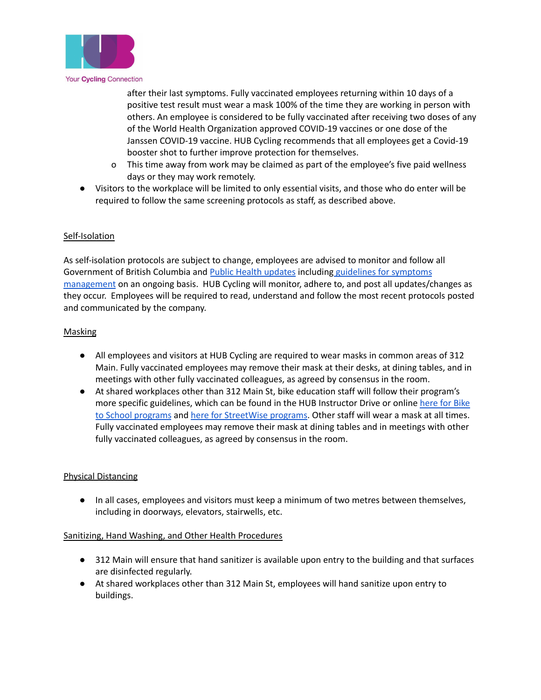

after their last symptoms. Fully vaccinated employees returning within 10 days of a positive test result must wear a mask 100% of the time they are working in person with others. An employee is considered to be fully vaccinated after receiving two doses of any of the World Health Organization approved COVID-19 vaccines or one dose of the Janssen COVID-19 vaccine. HUB Cycling recommends that all employees get a Covid-19 booster shot to further improve protection for themselves.

- o This time away from work may be claimed as part of the employee's five paid wellness days or they may work remotely.
- Visitors to the workplace will be limited to only essential visits, and those who do enter will be required to follow the same screening protocols as staff, as described above.

## Self-Isolation

As self-isolation protocols are subject to change, employees are advised to monitor and follow all Government of British Columbia and Public Health [updates](http://www.bccdc.ca/health-info/diseases-conditions/covid-19/public-exposures#work) including guidelines for [symptoms](http://www.bccdc.ca/health-info/diseases-conditions/covid-19/if-you-have-covid-19) [management](http://www.bccdc.ca/health-info/diseases-conditions/covid-19/if-you-have-covid-19) on an ongoing basis. HUB Cycling will monitor, adhere to, and post all updates/changes as they occur. Employees will be required to read, understand and follow the most recent protocols posted and communicated by the company.

### Masking

- All employees and visitors at HUB Cycling are required to wear masks in common areas of 312 Main. Fully vaccinated employees may remove their mask at their desks, at dining tables, and in meetings with other fully vaccinated colleagues, as agreed by consensus in the room.
- At shared workplaces other than 312 Main St, bike education staff will follow their program's more specific guidelines, which can be found in the HUB Instructor Drive or online [here](https://bikehub.ca/covid-19-safety-plan-for-bike-to-school-programs) for Bike to School [programs](https://bikehub.ca/covid-19-safety-plan-for-bike-to-school-programs) and here for [StreetWise](https://bikehub.ca/covid-19-protocols-for-in-person-streetwise-programs) programs. Other staff will wear a mask at all times. Fully vaccinated employees may remove their mask at dining tables and in meetings with other fully vaccinated colleagues, as agreed by consensus in the room.

## Physical Distancing

● In all cases, employees and visitors must keep a minimum of two metres between themselves, including in doorways, elevators, stairwells, etc.

#### Sanitizing, Hand Washing, and Other Health Procedures

- 312 Main will ensure that hand sanitizer is available upon entry to the building and that surfaces are disinfected regularly.
- At shared workplaces other than 312 Main St, employees will hand sanitize upon entry to buildings.